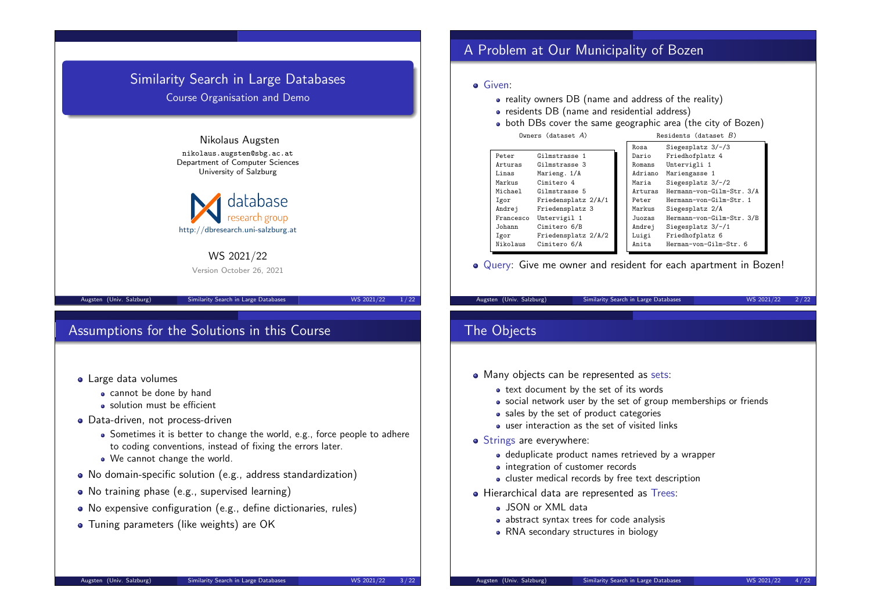

## Assumptions for the Solutions in this Course

- **.** Large data volumes
	- cannot be done by hand
	- solution must be efficient
- **•** Data-driven, not process-driven
	- Sometimes it is better to change the world, e.g., force people to adhere to coding conventions, instead of fixing the errors later.
	- We cannot change the world.
- No domain-specific solution (e.g., address standardization)
- No training phase (e.g., supervised learning)
- No expensive configuration (e.g., define dictionaries, rules)
- **•** Tuning parameters (like weights) are OK

## A Problem at Our Municipality of Bozen

#### **o** Given:

- reality owners DB (name and address of the reality)
- residents DB (name and residential address)
- both DBs cover the same geographic area (the city of Bozen)

|  | Owners (dataset $A$ ) |  |
|--|-----------------------|--|
|--|-----------------------|--|

| Owners (dataset A) | Residents (dataset $B$ ) |  |
|--------------------|--------------------------|--|
|                    |                          |  |

|           |                     | Rosa    | Siegesplatz 3/-/3         |
|-----------|---------------------|---------|---------------------------|
| Peter     | Gilmstrasse 1       | Dario   | Friedhofplatz 4           |
| Arturas   | Gilmstrasse 3       | Romans  | Untervigli 1              |
| Linas     | Marieng. 1/A        | Adriano | Mariengasse 1             |
| Markus    | Cimitero 4          | Maria   | Siegesplatz $3/-/2$       |
| Michael   | Gilmstrasse 5       | Arturas | Hermann-von-Gilm-Str. 3/A |
| Igor      | Friedensplatz 2/A/1 | Peter   | Hermann-von-Gilm-Str. 1   |
| Andrej    | Friedensplatz 3     | Markus  | Siegesplatz 2/A           |
| Francesco | Untervigil 1        | Juozas  | Hermann-von-Gilm-Str. 3/B |
| Johann    | Cimitero 6/B        | Andrej  | Siegesplatz $3/-/1$       |
| Igor      | Friedensplatz 2/A/2 | Luigi   | Friedhofplatz 6           |
| Nikolaus  | Cimitero 6/A        | Anita   | Herman-von-Gilm-Str. 6    |

Query: Give me owner and resident for each apartment in Bozen!

Augsten (Univ. Salzburg) Similarity Search in Large Databases WS 2021/22 2/22

## The Objects

- Many objects can be represented as sets:
	- text document by the set of its words
	- social network user by the set of group memberships or friends
	- sales by the set of product categories
	- user interaction as the set of visited links
- Strings are everywhere:
	- deduplicate product names retrieved by a wrapper
	- integration of customer records
	- cluster medical records by free text description
- Hierarchical data are represented as Trees:
	- JSON or XML data
	- abstract syntax trees for code analysis
	- RNA secondary structures in biology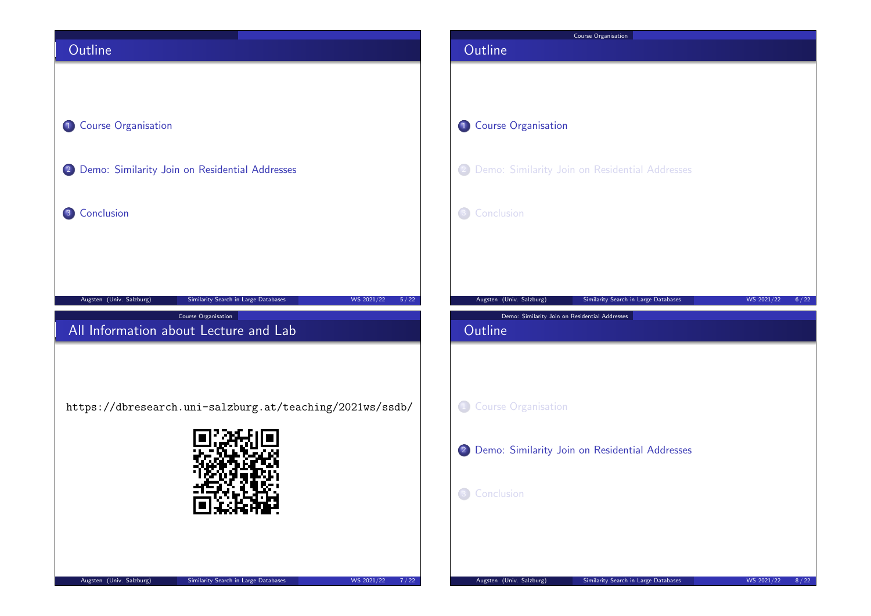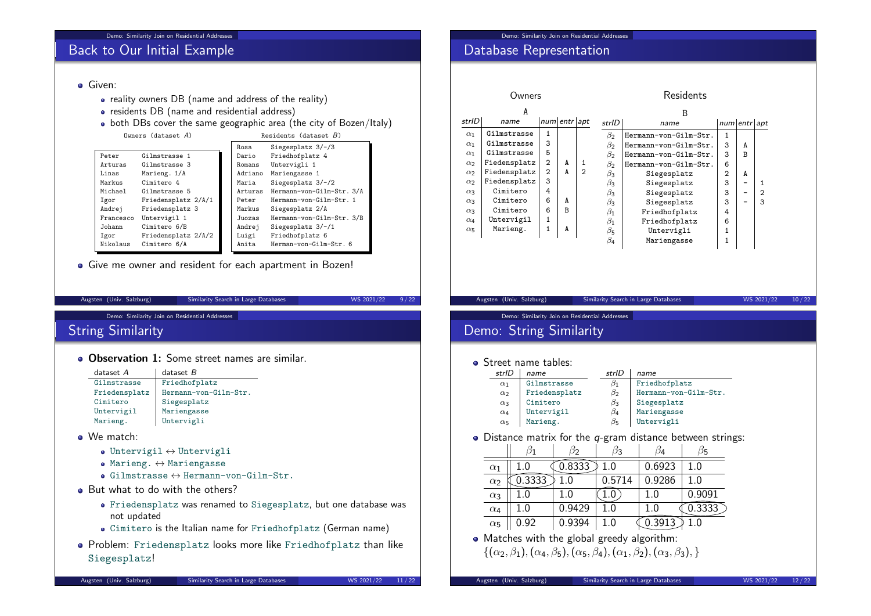## Back to Our Initial Example

#### **Given:**

- reality owners DB (name and address of the reality)
- residents DB (name and residential address)
- both DBs cover the same geographic area (the city of Bozen/Italy)

|  | Owners $(dataset A)$ |                     |                   |         | Residents (dataset $B$ )  |
|--|----------------------|---------------------|-------------------|---------|---------------------------|
|  |                      | Rosa                | Siegesplatz 3/-/3 |         |                           |
|  | Peter                | Gilmstrasse 1       |                   | Dario   | Friedhofplatz 4           |
|  | Arturas              | Gilmstrasse 3       |                   | Romans  | Untervigli 1              |
|  | Linas                | Marieng. 1/A        |                   | Adriano | Mariengasse 1             |
|  | Markus               | Cimitero 4          |                   | Maria   | Siegesplatz $3/-/2$       |
|  | Michael              | Gilmstrasse 5       |                   | Arturas | Hermann-von-Gilm-Str. 3/A |
|  | Igor                 | Friedensplatz 2/A/1 |                   | Peter   | Hermann-von-Gilm-Str. 1   |
|  | Andrej               | Friedensplatz 3     |                   | Markus  | Siegesplatz 2/A           |
|  | Francesco            | Untervigil 1        |                   | Juozas  | Hermann-von-Gilm-Str. 3/B |
|  | Johann               | Cimitero 6/B        |                   | Andrej  | Siegesplatz $3/-/1$       |
|  | Igor                 | Friedensplatz 2/A/2 |                   | Luigi   | Friedhofplatz 6           |
|  | Nikolaus             | Cimitero 6/A        |                   | Anita   | Herman-von-Gilm-Str. 6    |
|  |                      |                     |                   |         |                           |

Give me owner and resident for each apartment in Bozen!

| Augsten (Univ. Salzburg) |  |  |  |
|--------------------------|--|--|--|
|--------------------------|--|--|--|

Augusten (University Search in Large Databases WS 2021/22 9/22

Demo: Similarity Join on Residential Addresses

## String Similarity

**Observation 1:** Some street names are similar

| $dataset$ $A$ | $dataset$ $B$         |
|---------------|-----------------------|
| Gilmstrasse   | Friedhofplatz         |
| Friedensplatz | Hermann-von-Gilm-Str. |
| Cimitero      | Siegesplatz           |
| Untervigil    | Mariengasse           |
| Marieng.      | Untervigli            |
|               |                       |

- We match:
	- $\bullet$  Untervigil  $\leftrightarrow$  Untervigli
	- $\bullet$  Marieng.  $\leftrightarrow$  Mariengasse
	- $\bullet$  Gilmstrasse  $\leftrightarrow$  Hermann-von-Gilm-Str.
- But what to do with the others?
	- Friedensplatz was renamed to Siegesplatz, but one database was not updated
	- Cimitero is the Italian name for Friedhofplatz (German name)
- Problem: Friedensplatz looks more like Friedhofplatz than like Siegesplatz!

## Database Representation

#### Residents

| A          |              |                |   |                | B                             |                       |                |   |                |
|------------|--------------|----------------|---|----------------|-------------------------------|-----------------------|----------------|---|----------------|
| strID      | name         | num entr apt   |   |                | strlD<br>num entr apt<br>name |                       |                |   |                |
| $\alpha_1$ | Gilmstrasse  | 1              |   |                | $\beta_2$                     | Hermann-von-Gilm-Str. | 1              |   |                |
| $\alpha_1$ | Gilmstrasse  | 3              |   |                | $\beta_2$                     | Hermann-von-Gilm-Str. | 3              | A |                |
| $\alpha_1$ | Gilmstrasse  | 5              |   |                | $\beta_2$                     | Hermann-von-Gilm-Str. | 3              | R |                |
| $\alpha_2$ | Fiedensplatz | $\overline{2}$ | A |                | Bэ                            | Hermann-von-Gilm-Str. | 6              |   |                |
| $\alpha_2$ | Fiedensplatz | $\overline{2}$ | A | $\overline{2}$ | $\beta_3$                     | Siegesplatz           | $\overline{2}$ | A |                |
| $\alpha_2$ | Fiedensplatz | 3              |   |                | $\beta_3$                     | Siegesplatz           | 3              |   |                |
| $\alpha_3$ | Cimitero     | 4              |   |                | $\beta_3$                     | Siegesplatz           | 3              |   | $\overline{2}$ |
| $\alpha_3$ | Cimitero     | 6              | A |                | $\beta_3$                     | Siegesplatz           | 3              |   | 3              |
| $\alpha_3$ | Cimitero     | 6              | R |                | $\beta_1$                     | Friedhofplatz         | 4              |   |                |
| $\alpha_4$ | Untervigil   | 1              |   |                | $\beta_1$                     | Friedhofplatz         | 6              |   |                |
| $\alpha_5$ | Marieng.     | 1              | A |                | $\beta_5$                     | Untervigli            | 1              |   |                |
|            |              |                |   |                | $\beta_4$                     | Mariengasse           | $\mathbf{1}$   |   |                |
|            |              |                |   |                |                               |                       |                |   |                |

### Augsten (Univ. Salzburg) Similarity Search in Large Databases WS 2021/22 10/22

Demo: Similarity Join on Residential Addresses

# Demo: String Similarity

#### **Street name tables:**

| strID      | name          | strlD     | name                  |
|------------|---------------|-----------|-----------------------|
| $\alpha_1$ | Gilmstrasse   | β1        | Friedhofplatz         |
| $\alpha_2$ | Friedensplatz | $\beta_2$ | Hermann-von-Gilm-Str. |
| $\alpha_3$ | Cimitero      | $\beta_3$ | Siegesplatz           |
| $\alpha_4$ | Untervigil    | $\beta_4$ | Mariengasse           |
| $\alpha_5$ | Marieng.      | $\beta$ 5 | Untervigli            |

 $\bullet$  Distance matrix for the q-gram distance between strings:

|            |        |         |        | 14      |        |
|------------|--------|---------|--------|---------|--------|
| $\alpha_1$ | $+0$   | .8333   | 1.0    | 0.6923  | 1.0    |
| $\alpha_2$ | 0.3333 | $1.0\,$ | 0.5714 | 0.9286  | 1.0    |
| $\alpha_3$ |        | $1.0\,$ |        | $1.0\,$ | 0.9091 |
| $\alpha_4$ | 1.0    | 0.9429  |        |         | .3333  |
| $\alpha_5$ | 0.92   | 0.9394  | 1.0    | 3913    |        |

• Matches with the global greedy algorithm:  $\{(\alpha_2,\beta_1),(\alpha_4,\beta_5),(\alpha_5,\beta_4),(\alpha_1,\beta_2),(\alpha_3,\beta_3),\}$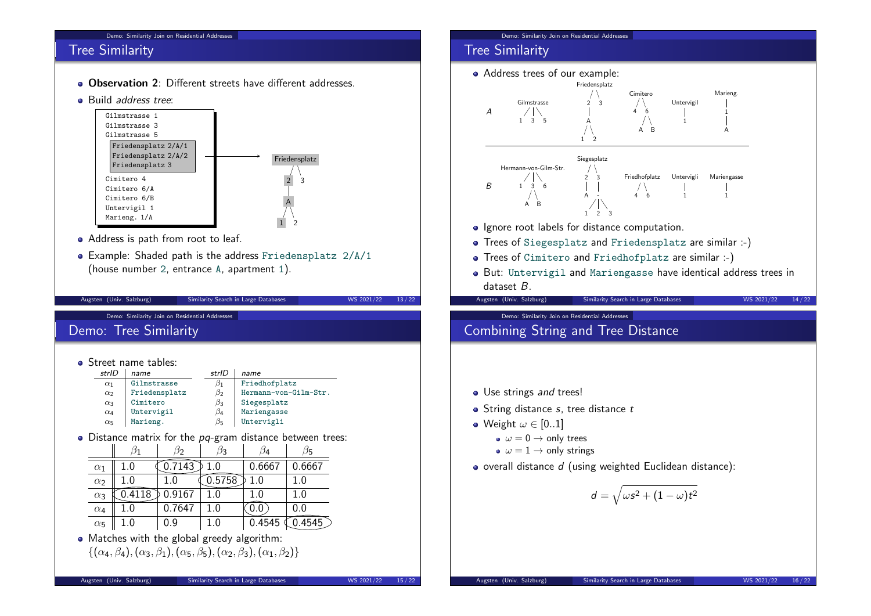#### Demo: Similarity Join on Residential Addresses

## Tree Similarity

- **Observation 2:** Different streets have different addresses
- Build address tree:



- Address is path from root to leaf.
- Example: Shaded path is the address Friedensplatz 2/A/1 (house number 2, entrance A, apartment 1).

Augsten (Univ. Salzburg) Similarity Search in Large Databases WS 2021/22 13/22

Demo: Similarity Join on Residential Addresses

## Demo: Tree Similarity

#### **o** Street name tables:

 $\equiv$ 

| strlD      | name          | strID     | name                  |
|------------|---------------|-----------|-----------------------|
| $\alpha_1$ | Gilmstrasse   | 151       | Friedhofplatz         |
| $\alpha_2$ | Friedensplatz | $\beta_2$ | Hermann-von-Gilm-Str. |
| $\alpha_3$ | Cimitero      | $\beta_3$ | Siegesplatz           |
| $\alpha_4$ | Untervigil    | $\beta_4$ | Mariengasse           |
| $\alpha_5$ | Marieng.      | $\beta_5$ | Untervigli            |

 $\bullet$  Distance matrix for the  $pq$ -gram distance between trees:

|            |     |        |         | 14     | )디              |
|------------|-----|--------|---------|--------|-----------------|
| $\alpha_1$ | 1.0 | 7143   | $1.0\,$ | 0.6667 | 0.6667          |
| $\alpha_2$ | 1.0 |        | .5758   | 1.0    | $1.0\,$         |
| $\alpha_3$ | 18  | 0.9167 | 1.0     | 1.0    | 1.0             |
| $\alpha_4$ | 1.0 | 0.7647 | $1.0\,$ | U.U    | 0.0             |
| $\alpha_5$ | 1.0 | 0.9    | 1.0     | 0.4545 | .4545 $\supset$ |

• Matches with the global greedy algorithm:  $\{(\alpha_4, \beta_4), (\alpha_3, \beta_1), (\alpha_5, \beta_5), (\alpha_2, \beta_3), (\alpha_1, \beta_2)\}\$ 

#### Demo: Similarity Join on Residential Addresses

## Tree Similarity

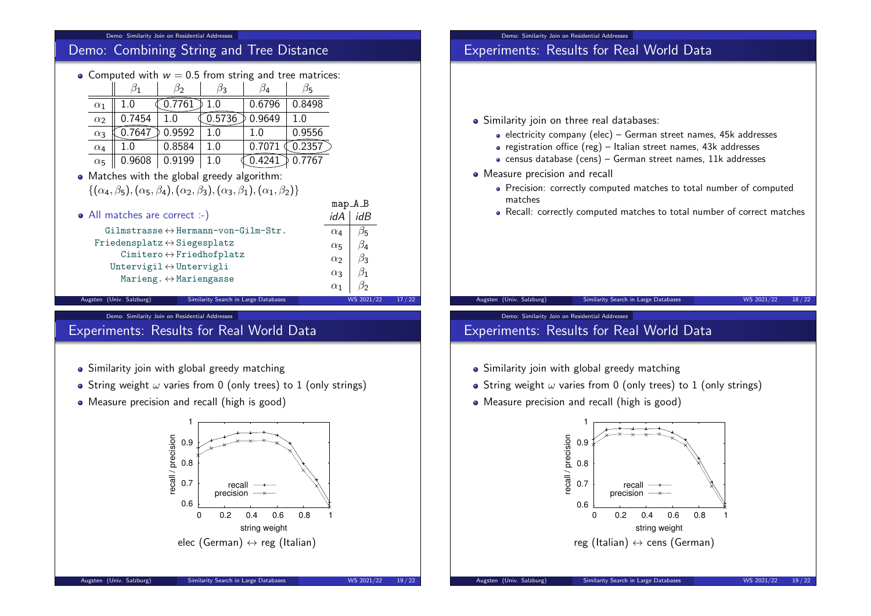#### Demo: Similarity Join on Residential Addresses

| <b>Demo: Combining String and Tree Distance</b>                                                       |               |                                             |           |           |                       |                      |       |
|-------------------------------------------------------------------------------------------------------|---------------|---------------------------------------------|-----------|-----------|-----------------------|----------------------|-------|
| • Computed with $w = 0.5$ from string and tree matrices:                                              |               |                                             |           |           |                       |                      |       |
|                                                                                                       | $\beta_1$     | $\beta_3$<br>$\beta_2$                      | $\beta_4$ | $\beta_5$ |                       |                      |       |
| $\alpha_1$                                                                                            | 1.0           | 0.7761<br>1.0                               | 0.6796    | 0.8498    |                       |                      |       |
| $\alpha_2$                                                                                            | 0.7454<br>1.0 | 0.5736                                      | 0.9649    | 1.0       |                       |                      |       |
| $\alpha_3$                                                                                            | 0.7647        | 0.9592<br>1.0                               | 1.0       | 0.9556    |                       |                      |       |
| $\alpha_4$                                                                                            | 1.0           | 0.8584<br>1.0                               | 0.7071    | 0.2357    |                       |                      |       |
| $\alpha_5$                                                                                            | 0.9608        | 0.9199<br>1.0                               | 0.4241    | 0.7767    |                       |                      |       |
| • Matches with the global greedy algorithm:                                                           |               |                                             |           |           |                       |                      |       |
| $\{(\alpha_4,\beta_5),(\alpha_5,\beta_4),(\alpha_2,\beta_3),(\alpha_3,\beta_1),(\alpha_1,\beta_2)\}\$ |               |                                             |           |           |                       |                      |       |
|                                                                                                       |               |                                             |           |           | $map_A_B$             |                      |       |
| • All matches are correct :-)                                                                         |               |                                             |           |           | idA                   | idB                  |       |
| $Gilmstrasse \leftrightarrow Hermann-von-Gilm-Str.$                                                   |               |                                             |           |           | $\alpha_4$            | $\beta_5$            |       |
| $Friedensplatz \leftrightarrow Siegesplatz$                                                           |               |                                             |           |           | $\alpha$ <sub>5</sub> | $\beta_4$            |       |
| $Cimitero \leftrightarrow Friedhofplatz$                                                              |               |                                             |           |           | $\alpha$              | $\beta_3$            |       |
| Untervigil $\leftrightarrow$ Untervigli                                                               |               |                                             |           |           | $\alpha_3$            | $\beta_{\mathbf{1}}$ |       |
| Marieng. $\leftrightarrow$ Mariengasse                                                                |               |                                             |           |           | $\alpha_1$            | $\beta_2$            |       |
| Augsten (Univ. Salzburg)                                                                              |               | <b>Similarity Search in Large Databases</b> |           |           |                       | WS 2021/22           | 17/22 |

#### Demo: Similarity Join on Residential Addresses

# Experiments: Results for Real World Data

- Similarity join with global greedy matching
- String weight  $\omega$  varies from 0 (only trees) to 1 (only strings)
- Measure precision and recall (high is good)



## Demo: Similarity Join on Residential Addresses Experiments: Results for Real World Data

## Similarity join on three real databases:

- $\bullet$  electricity company (elec) German street names, 45k addresses
- registration office (reg) Italian street names,  $43k$  addresses
- $\bullet$  census database (cens) German street names, 11k addresses
- Measure precision and recall
	- Precision: correctly computed matches to total number of computed matches
	- Recall: correctly computed matches to total number of correct matches

### Augsten (Univ. Salzburg) Similarity Search in Large Databases WS 2021/22 18/22

#### Demo: Similarity Join on Residential Addresses

## Experiments: Results for Real World Data

- Similarity join with global greedy matching
- String weight  $\omega$  varies from 0 (only trees) to 1 (only strings)
- Measure precision and recall (high is good)